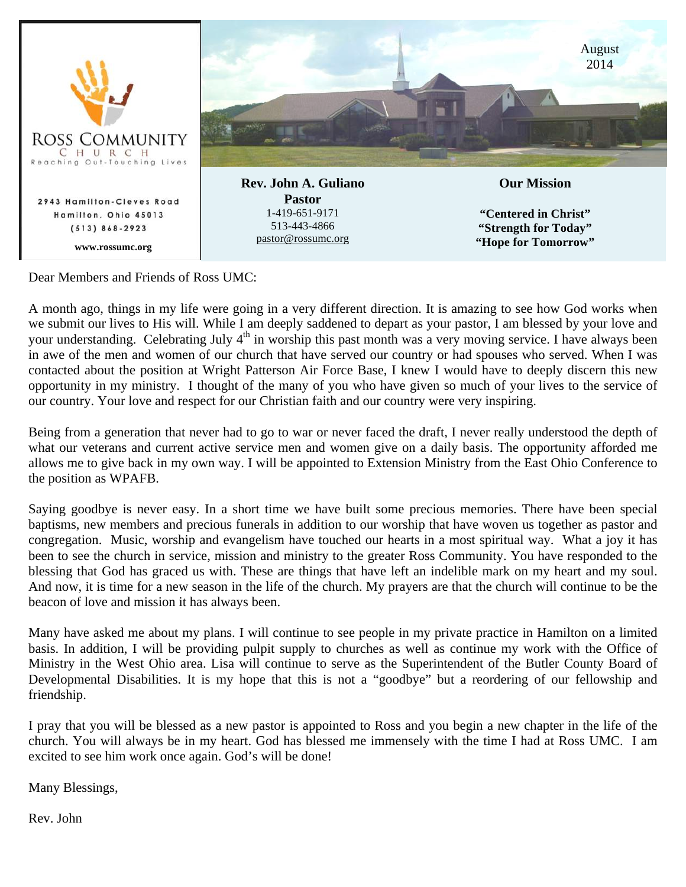

Dear Members and Friends of Ross UMC:

A month ago, things in my life were going in a very different direction. It is amazing to see how God works when we submit our lives to His will. While I am deeply saddened to depart as your pastor, I am blessed by your love and your understanding. Celebrating July 4<sup>th</sup> in worship this past month was a very moving service. I have always been in awe of the men and women of our church that have served our country or had spouses who served. When I was contacted about the position at Wright Patterson Air Force Base, I knew I would have to deeply discern this new opportunity in my ministry. I thought of the many of you who have given so much of your lives to the service of our country. Your love and respect for our Christian faith and our country were very inspiring.

Being from a generation that never had to go to war or never faced the draft, I never really understood the depth of what our veterans and current active service men and women give on a daily basis. The opportunity afforded me allows me to give back in my own way. I will be appointed to Extension Ministry from the East Ohio Conference to the position as WPAFB.

Saying goodbye is never easy. In a short time we have built some precious memories. There have been special baptisms, new members and precious funerals in addition to our worship that have woven us together as pastor and congregation. Music, worship and evangelism have touched our hearts in a most spiritual way. What a joy it has been to see the church in service, mission and ministry to the greater Ross Community. You have responded to the blessing that God has graced us with. These are things that have left an indelible mark on my heart and my soul. And now, it is time for a new season in the life of the church. My prayers are that the church will continue to be the beacon of love and mission it has always been.

Many have asked me about my plans. I will continue to see people in my private practice in Hamilton on a limited basis. In addition, I will be providing pulpit supply to churches as well as continue my work with the Office of Ministry in the West Ohio area. Lisa will continue to serve as the Superintendent of the Butler County Board of Developmental Disabilities. It is my hope that this is not a "goodbye" but a reordering of our fellowship and friendship.

I pray that you will be blessed as a new pastor is appointed to Ross and you begin a new chapter in the life of the church. You will always be in my heart. God has blessed me immensely with the time I had at Ross UMC. I am excited to see him work once again. God's will be done!

Many Blessings,

Rev. John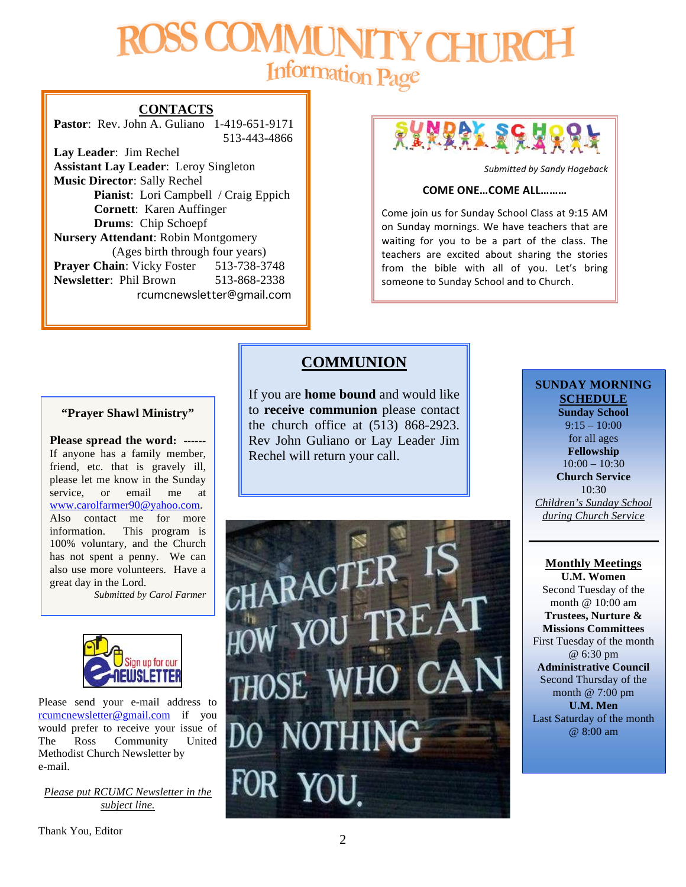# Information Page

#### **CONTACTS**

**Pastor**: Rev. John A. Guliano 1-419-651-9171 513-443-4866

**Lay Leader**: Jim Rechel **Assistant Lay Leader**: Leroy Singleton **Music Director**: Sally Rechel **Pianist**: Lori Campbell / Craig Eppich **Cornett**: Karen Auffinger **Drums**: Chip Schoepf **Nursery Attendant**: Robin Montgomery (Ages birth through four years) **Prayer Chain:** Vicky Foster 513-738-3748 **Newsletter**: Phil Brown 513-868-2338 rcumcnewsletter@gmail.com



*Submitted by Sandy Hogeback*

#### **COME ONE...COME ALL........**

Come join us for Sunday School Class at 9:15 AM on Sunday mornings. We have teachers that are waiting for you to be a part of the class. The teachers are excited about sharing the stories from the bible with all of you. Let's bring someone to Sunday School and to Church.

#### **"Prayer Shawl Ministry"**

**Please spread the word: ------** If anyone has a family member, friend, etc. that is gravely ill, please let me know in the Sunday service, or email me at www.carolfarmer90@yahoo.com. Also contact me for more information. This program is 100% voluntary, and the Church has not spent a penny. We can also use more volunteers. Have a great day in the Lord.

*Submitted by Carol Farmer*



Please send your e-mail address to rcumcnewsletter@gmail.com if you would prefer to receive your issue of The Ross Community United Methodist Church Newsletter by e-mail.

*Please put RCUMC Newsletter in the subject line.*

#### **COMMUNION**

If you are **home bound** and would like to **receive communion** please contact the church office at (513) 868-2923. Rev John Guliano or Lay Leader Jim Rechel will return your call.



#### **SUNDAY MORNING SCHEDULE**

**Sunday School** 9:15 – 10:00 for all ages **Fellowship**  $10:00 - 10:30$ **Church Service** 10:30 *Children's Sunday School during Church Service*

#### **Monthly Meetings U.M. Women**

Second Tuesday of the month @ 10:00 am **Trustees, Nurture & Missions Committees** First Tuesday of the month @ 6:30 pm **Administrative Council** Second Thursday of the month @ 7:00 pm **U.M. Men** Last Saturday of the month @ 8:00 am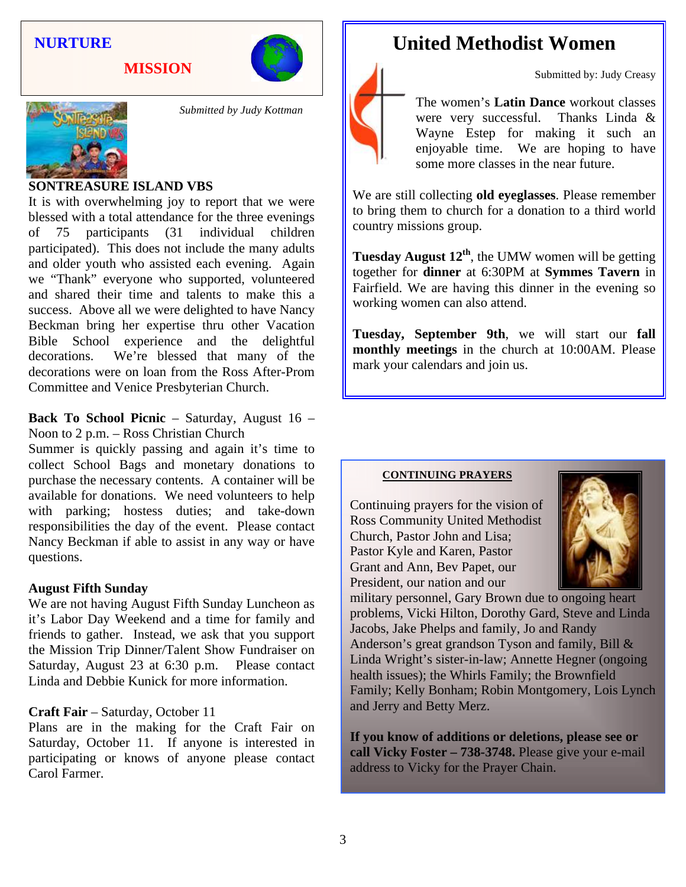#### **NURTURE**

**MISSION**





*Submitted by Judy Kottman*

#### **SONTREASURE ISLAND VBS**

It is with overwhelming joy to report that we were blessed with a total attendance for the three evenings of 75 participants (31 individual children participated). This does not include the many adults and older youth who assisted each evening. Again we "Thank" everyone who supported, volunteered and shared their time and talents to make this a success. Above all we were delighted to have Nancy Beckman bring her expertise thru other Vacation Bible School experience and the delightful decorations. We're blessed that many of the decorations were on loan from the Ross After-Prom Committee and Venice Presbyterian Church.

**Back To School Picnic** – Saturday, August 16 – Noon to 2 p.m. – Ross Christian Church

Summer is quickly passing and again it's time to collect School Bags and monetary donations to purchase the necessary contents. A container will be available for donations. We need volunteers to help with parking; hostess duties; and take-down responsibilities the day of the event. Please contact Nancy Beckman if able to assist in any way or have questions.

#### **August Fifth Sunday**

We are not having August Fifth Sunday Luncheon as it's Labor Day Weekend and a time for family and friends to gather. Instead, we ask that you support the Mission Trip Dinner/Talent Show Fundraiser on Saturday, August 23 at 6:30 p.m. Please contact Linda and Debbie Kunick for more information.

#### **Craft Fair** – Saturday, October 11

Plans are in the making for the Craft Fair on Saturday, October 11. If anyone is interested in participating or knows of anyone please contact Carol Farmer.

## **United Methodist Women**



The women's **Latin Dance** workout classes were very successful. Thanks Linda & Wayne Estep for making it such an enjoyable time. We are hoping to have some more classes in the near future.

Submitted by: Judy Creasy

We are still collecting **old eyeglasses**. Please remember to bring them to church for a donation to a third world country missions group.

**Tuesday August**  $12^{th}$ **, the UMW women will be getting** together for **dinner** at 6:30PM at **Symmes Tavern** in Fairfield. We are having this dinner in the evening so working women can also attend.

**Tuesday, September 9th**, we will start our **fall monthly meetings** in the church at 10:00AM. Please mark your calendars and join us.

#### **CONTINUING PRAYERS**

Continuing prayers for the vision of Ross Community United Methodist Church, Pastor John and Lisa; Pastor Kyle and Karen, Pastor Grant and Ann, Bev Papet, our President, our nation and our



military personnel, Gary Brown due to ongoing heart problems, Vicki Hilton, Dorothy Gard, Steve and Linda Jacobs, Jake Phelps and family, Jo and Randy Anderson's great grandson Tyson and family, Bill & Linda Wright's sister-in-law; Annette Hegner (ongoing health issues); the Whirls Family; the Brownfield Family; Kelly Bonham; Robin Montgomery, Lois Lynch and Jerry and Betty Merz.

**If you know of additions or deletions, please see or call Vicky Foster – 738-3748.** Please give your e-mail address to Vicky for the Prayer Chain.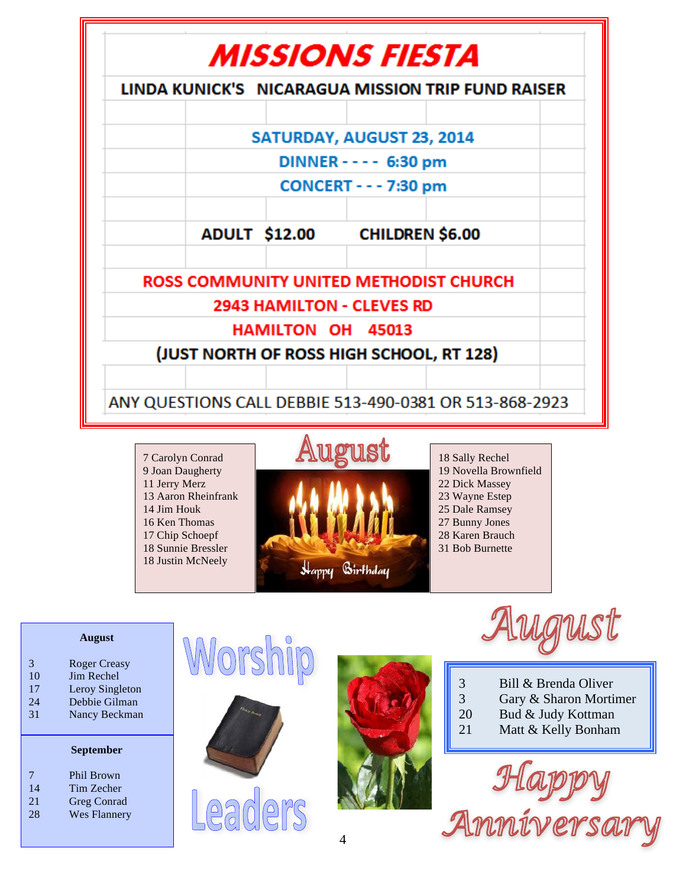

7 Carolyn Conrad 9 Joan Daugherty 11 Jerry Merz 13 Aaron Rheinfrank 14 Jim Houk 16 Ken Thomas 17 Chip Schoepf 18 Sunnie Bressler 18 Justin McNeely



18 Sally Rechel 19 Novella Brownfield 22 Dick Massey 23 Wayne Estep 25 Dale Ramsey 27 Bunny Jones 28 Karen Brauch 31 Bob Burnette

#### **August**

- 3 Roger Creasy
- 10 Jim Rechel
- 17 Leroy Singleton
- 24 Debbie Gilman<br>31 Nancy Beckman Nancy Beckman

#### **September**

- 7 Phil Brown<br>14 Tim Zecher Tim Zecher 21 Greg Conrad
- 28 Wes Flannery







LANIST

- 3 Bill & Brenda Oliver<br>3 Gary & Sharon Morti
- Gary & Sharon Mortimer
- 20 Bud & Judy Kottman
- 21 Matt & Kelly Bonham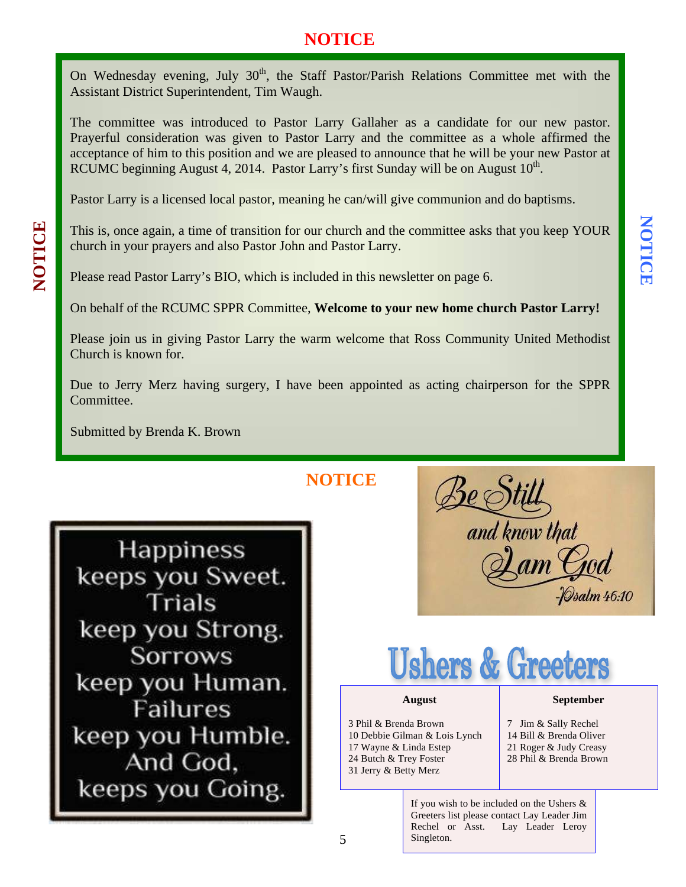## **NOTICE**

On Wednesday evening, July 30<sup>th</sup>, the Staff Pastor/Parish Relations Committee met with the Assistant District Superintendent, Tim Waugh.

The committee was introduced to Pastor Larry Gallaher as a candidate for our new pastor. Prayerful consideration was given to Pastor Larry and the committee as a whole affirmed the acceptance of him to this position and we are pleased to announce that he will be your new Pastor at RCUMC beginning August 4, 2014. Pastor Larry's first Sunday will be on August  $10<sup>th</sup>$ .

Pastor Larry is a licensed local pastor, meaning he can/will give communion and do baptisms.

This is, once again, a time of transition for our church and the committee asks that you keep YOUR church in your prayers and also Pastor John and Pastor Larry.

Please read Pastor Larry's BIO, which is included in this newsletter on page 6.

On behalf of the RCUMC SPPR Committee, **Welcome to your new home church Pastor Larry!**

Please join us in giving Pastor Larry the warm welcome that Ross Community United Methodist Church is known for.

Due to Jerry Merz having surgery, I have been appointed as acting chairperson for the SPPR Committee.

Submitted by Brenda K. Brown

**NOTICE**

5

**Happiness** keeps you Sweet. Trials keep you Strong. **Sorrows** keep you Human. **Failures** keep you Humble. And God, keeps you Going.

and know that



#### **August**

3 Phil & Brenda Brown 10 Debbie Gilman & Lois Lynch 17 Wayne & Linda Estep 24 Butch & Trey Foster 31 Jerry & Betty Merz

#### **September**

- 7 Jim & Sally Rechel 14 Bill & Brenda Oliver 21 Roger & Judy Creasy
- 28 Phil & Brenda Brown

If you wish to be included on the Ushers & Greeters list please contact Lay Leader Jim Rechel or Asst. Lay Leader Leroy Singleton.

# NOTICE **NOTICE**

**NOTICE**

NOTICE